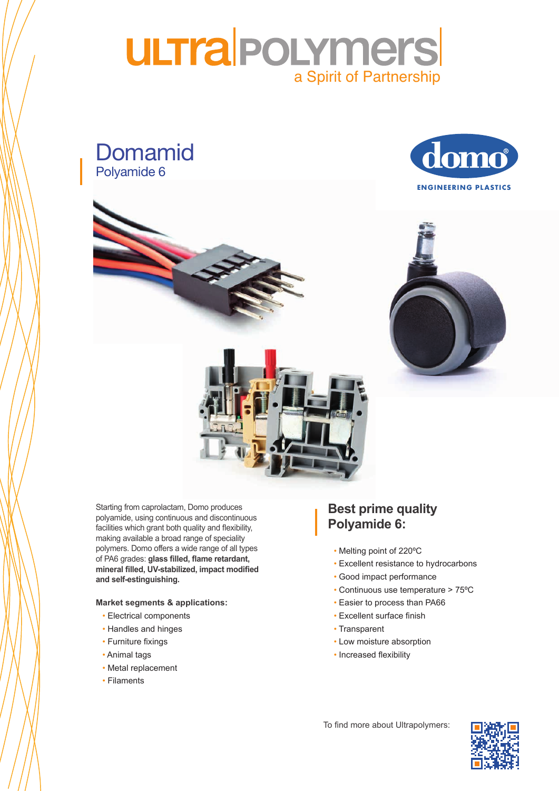## **ULTra POLYmers** a Spirit of PartnershipLustran / Novodur

Domamid Polyamide 6





of PA6 grades: **glass filled, flame retardant,** mineral filled, UV-stabilized, impact modified **and serve**wices to many morning. Starting from caprolactam, Domo produces polyamide, using continuous and discontinuous facilities which grant both quality and flexibility, making available a broad range of speciality polymers. Domo offers a wide range of all types **and self-estinguishing.**

#### **Market segments & applications:**

- Electrical components
- Handles and hinges
- Furniture fixings
- Animal tags **in the market since since since since since since since since since since since since since since since since since since since since since since since since**  $\mathbf{a}$
- Metal replacement
- Filaments

#### **Best prime quality** Pre coloured + special measures (UV, laser marking,…) **Polyamide 6:**

UNIQUE MATERIALS:

- $\lim_{n \to \infty}$  point of 220  $\circ$ • Melting point of 220ºC
- Excellent resistance to hydrocarbons
- Good impact performance
- Continuous use temperature > 75ºC
- Easier to process than PA66
- Excellent surface finish
- $a$  ispairt in • Transparent
- Low moisture absorption
- Increased flexibility

To find more about Ultrapolymers:  $\Box$